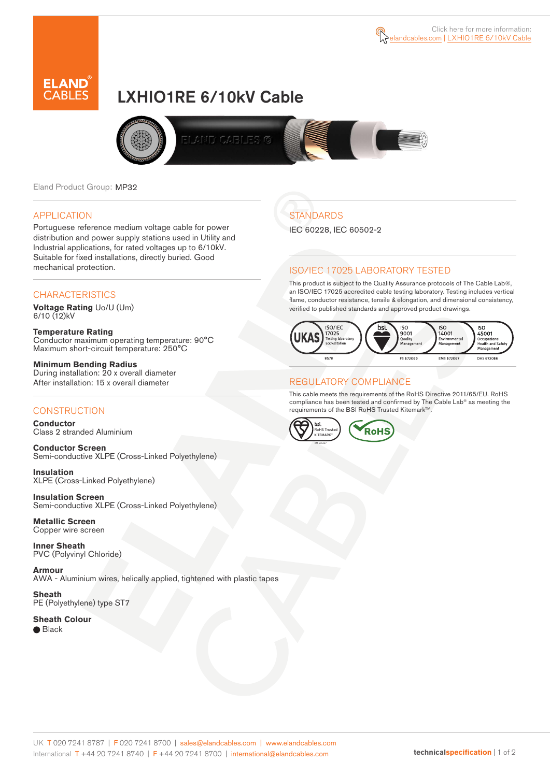

# LXHIO1RE 6/10kV Cable



Eland Product Group: MP32

#### APPLICATION

Portuguese reference medium voltage cable for power distribution and power supply stations used in Utility and Industrial applications, for rated voltages up to 6/10kV. Suitable for fixed installations, directly buried. Good mechanical protection.

#### **CHARACTERISTICS**

**Voltage Rating** Uo/U (Um)  $6/10(12)$ kV

**Temperature Rating** Conductor maximum operating temperature: 90°C Maximum short-circuit temperature: 250°C

**Minimum Bending Radius** During installation: 20 x overall diameter After installation: 15 x overall diameter

#### **CONSTRUCTION**

**Conductor**  Class 2 stranded Aluminium

**Conductor Screen** Semi-conductive XLPE (Cross-Linked Polyethylene)

**Insulation** XLPE (Cross-Linked Polyethylene)

**Insulation Screen** Semi-conductive XLPE (Cross-Linked Polyethylene)

**Metallic Screen**  Copper wire screen

**Inner Sheath** PVC (Polyvinyl Chloride)

**Armour** AWA - Aluminium wires, helically applied, tightened with plastic tapes

**Sheath** PE (Polyethylene) type ST7

**Sheath Colour**  ● Black

**STANDARDS** 

IEC 60228, IEC 60502-2

#### ISO/IEC 17025 LABORATORY TESTED

This product is subject to the Quality Assurance protocols of The Cable Lab®, an ISO/IEC 17025 accredited cable testing laboratory. Testing includes vertical flame, conductor resistance, tensile & elongation, and dimensional consistency, verified to published standards and approved product drawings.



#### REGULATORY COMPLIANCE

This cable meets the requirements of the RoHS Directive 2011/65/EU. RoHS compliance has been tested and confirmed by The Cable Lab® as meeting the requirements of the BSI RoHS Trusted Kitemark™.